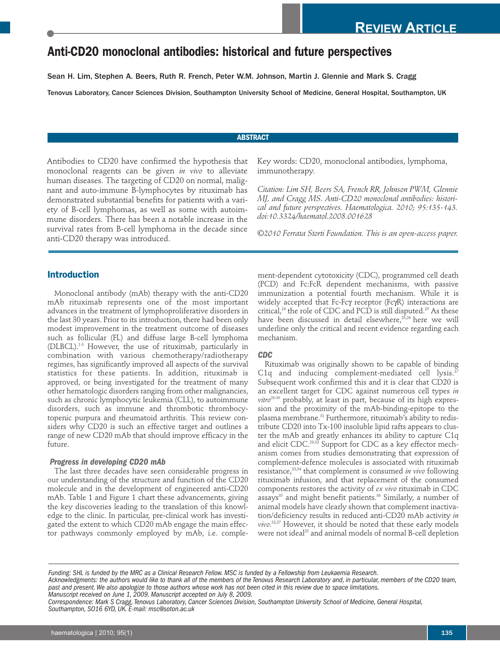# **Anti-CD20 monoclonal antibodies: historical and future perspectives**

Sean H. Lim, Stephen A. Beers, Ruth R. French, Peter W.M. Johnson, Martin J. Glennie and Mark S. Cragg

Tenovus Laboratory, Cancer Sciences Division, Southampton University School of Medicine, General Hospital, Southampton, UK

# **ABSTRACT**

Antibodies to CD20 have confirmed the hypothesis that monoclonal reagents can be given *in vivo* to alleviate human diseases. The targeting of CD20 on normal, malignant and auto-immune B-lymphocytes by rituximab has demonstrated substantial benefits for patients with a variety of B-cell lymphomas, as well as some with autoimmune disorders. There has been a notable increase in the survival rates from B-cell lymphoma in the decade since anti-CD20 therapy was introduced.

# **Introduction**

Monoclonal antibody (mAb) therapy with the anti-CD20 mAb rituximab represents one of the most important advances in the treatment of lymphoproliferative disorders in the last 30 years. Prior to its introduction, there had been only modest improvement in the treatment outcome of diseases such as follicular (FL) and diffuse large B-cell lymphoma (DLBCL).1-3 However, the use of rituximab, particularly in combination with various chemotherapy/radiotherapy regimes, has significantly improved all aspects of the survival statistics for these patients. In addition, rituximab is approved, or being investigated for the treatment of many other hematologic disorders ranging from other malignancies, such as chronic lymphocytic leukemia (CLL), to autoimmune disorders, such as immune and thrombotic thrombocytopenic purpura and rheumatoid arthritis. This review considers why CD20 is such an effective target and outlines a range of new CD20 mAb that should improve efficacy in the future.

## *Progress in developing CD20 mAb*

The last three decades have seen considerable progress in our understanding of the structure and function of the CD20 molecule and in the development of engineered anti-CD20 mAb. Table 1 and Figure 1 chart these advancements, giving the key discoveries leading to the translation of this knowledge to the clinic. In particular, pre-clinical work has investigated the extent to which CD20 mAb engage the main effector pathways commonly employed by mAb, i.e. compleKey words: CD20, monoclonal antibodies, lymphoma, immunotherapy.

*Citation: Lim SH, Beers SA, French RR, Johnson PWM, Glennie MJ, and Cragg MS. Anti-CD20 monoclonal antibodies: historical and future perspectives. Haematologica. 2010; 95:135-143. doi:10.3324/haematol.2008.001628* 

*©2010 Ferrata Storti Foundation. This is an open-access paper.* 

ment-dependent cytotoxicity (CDC), programmed cell death (PCD) and Fc:FcR dependent mechanisms, with passive immunization a potential fourth mechanism. While it is widely accepted that Fc-Fcγ receptor (FcγR) interactions are critical,<sup>24</sup> the role of CDC and PCD is still disputed.<sup>25</sup> As these have been discussed in detail elsewhere, $25,26$  here we will underline only the critical and recent evidence regarding each mechanism.

## *CDC*

Rituximab was originally shown to be capable of binding C1q and inducing complement-mediated cell lysis. $2^2$ Subsequent work confirmed this and it is clear that CD20 is an excellent target for CDC against numerous cell types *in vitro*28-30 probably, at least in part, because of its high expression and the proximity of the mAb-binding-epitope to the plasma membrane.31 Furthermore, rituximab's ability to redistribute CD20 into Tx-100 insoluble lipid rafts appears to cluster the mAb and greatly enhances its ability to capture C1q and elicit CDC.<sup>29,32</sup> Support for CDC as a key effector mechanism comes from studies demonstrating that expression of complement-defence molecules is associated with rituximab resistance,33,34 that complement is consumed *in vivo* following rituximab infusion, and that replacement of the consumed components restores the activity of *ex vivo* rituximab in CDC assays<sup>35</sup> and might benefit patients.<sup>36</sup> Similarly, a number of animal models have clearly shown that complement inactivation/deficiency results in reduced anti-CD20 mAb activity *in vivo*. 32,37 However, it should be noted that these early models were not ideal<sup>25</sup> and animal models of normal B-cell depletion

*Funding: SHL is funded by the MRC as a Clinical Research Fellow. MSC is funded by a Fellowship from Leukaemia Research.*

*Acknowledgments: the authors would like to thank all of the members of the Tenovus Research Laboratory and, in particular, members of the CD20 team, past and present.We also apologize to those authors whose work has not been cited in this review due to space limitations. Manuscript received on June 1, 2009. Manuscript accepted on July 8, 2009.*

*Correspondence: Mark S Cragg, Tenovus Laboratory, Cancer Sciences Division, Southampton University School of Medicine, General Hospital, Southampton, SO16 6YD, UK. E-mail: msc@soton.ac.uk*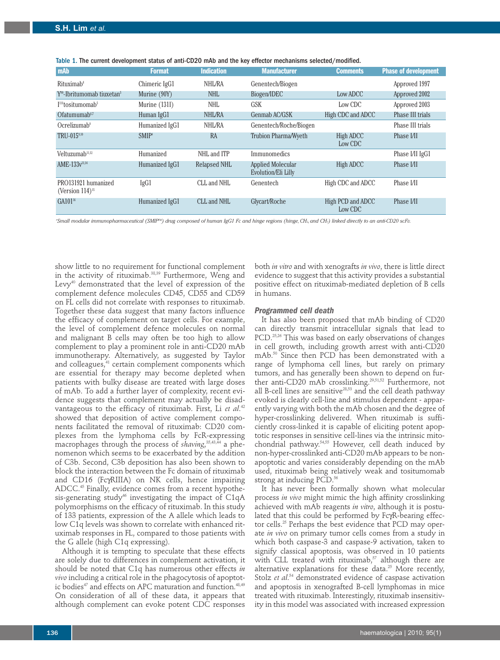| <b>mAb</b>                                            | <b>Format</b>  | <b>Indication</b>   | <b>Manufacturer</b>    | <b>Comments</b>   | <b>Phase of development</b> |
|-------------------------------------------------------|----------------|---------------------|------------------------|-------------------|-----------------------------|
| Rituximab <sup>4</sup>                                | Chimeric IgG1  | <b>NHL/RA</b>       | Genentech/Biogen       |                   | Approved 1997               |
| $Y90$ -Ibritumomab tiuxetan <sup>5</sup>              | Murine (90Y)   | <b>NHL</b>          | Biogen/IDEC            | Low ADCC          | Approved 2002               |
| $I131$ tositumomab <sup>5</sup>                       | Murine (131I)  | NHL                 | <b>GSK</b>             | Low CDC           | Approved 2003               |
| Ofatumumab <sup>6,7</sup>                             | Human IgG1     | <b>NHL/RA</b>       | Genmab AC/GSK          | High CDC and ADCC | Phase III trials            |
| Ocrelizumab <sup>8</sup>                              | Humanized IgG1 | <b>NHL/RA</b>       | Genentech/Roche/Biogen |                   | Phase III trials            |
| TRU-0159,10                                           | $SMIP*$        | RA                  | Trubion Pharma/Wyeth   | High ADCC         | Phase <i>VII</i>            |
|                                                       |                |                     |                        | Low CDC           |                             |
| Veltuzumab <sup>11,12</sup>                           | Humanized      | NHL and ITP         | Immunomedics           |                   | Phase I/II IgG1             |
| AME-133v <sup>13,14</sup>                             | Humanized IgG1 | <b>Relapsed NHL</b> | Applied Molecular      | High ADCC         | Phase <i>VII</i>            |
|                                                       |                |                     | Evolution/Eli Lilly    |                   |                             |
| PRO131921 humanized<br>(Version $114$ ) <sup>15</sup> | IgG1           | CLL and NHL         | Genentech              | High CDC and ADCC | Phase <i>VII</i>            |
| GA101 <sup>16</sup>                                   | Humanized IgG1 | <b>CLL</b> and NHL  | Glycart/Roche          | High PCD and ADCC | Phase <i>VII</i>            |
|                                                       |                |                     |                        | Low CDC           |                             |

*# Small modular immunopharmaceutical (SMIPTM) drug composed of human IgG1 Fc and hinge regions (hinge,CH2,and CH3) linked directly to an anti-CD20 scFv.*

show little to no requirement for functional complement in the activity of rituximab.<sup>38,39</sup> Furthermore, Weng and Levy<sup>40</sup> demonstrated that the level of expression of the complement defence molecules CD45, CD55 and CD59 on FL cells did not correlate with responses to rituximab. Together these data suggest that many factors influence the efficacy of complement on target cells. For example, the level of complement defence molecules on normal and malignant B cells may often be too high to allow complement to play a prominent role in anti-CD20 mAb immunotherapy. Alternatively, as suggested by Taylor and colleagues,<sup>41</sup> certain complement components which are essential for therapy may become depleted when patients with bulky disease are treated with large doses of mAb. To add a further layer of complexity, recent evidence suggests that complement may actually be disadvantageous to the efficacy of rituximab. First, Li *et al*. 42 showed that deposition of active complement components facilitated the removal of rituximab: CD20 complexes from the lymphoma cells by FcR-expressing macrophages through the process of *shaving*, 35,43,44 a phenomenon which seems to be exacerbated by the addition of C3b. Second, C3b deposition has also been shown to block the interaction between the Fc domain of rituximab and CD16 (FcγRIIIA) on NK cells, hence impairing ADCC.45 Finally, evidence comes from a recent hypothesis-generating study<sup>46</sup> investigating the impact of C1qA polymorphisms on the efficacy of rituximab. In this study of 133 patients, expression of the A allele which leads to low C1q levels was shown to correlate with enhanced rituximab responses in FL, compared to those patients with the G allele (high C1q expressing).

Although it is tempting to speculate that these effects are solely due to differences in complement activation, it should be noted that C1q has numerous other effects *in vivo* including a critical role in the phagocytosis of apoptotic bodies<sup>47</sup> and effects on APC maturation and function.<sup>48,49</sup> On consideration of all of these data, it appears that although complement can evoke potent CDC responses

both *in vitro* and with xenografts *in vivo*, there is little direct evidence to suggest that this activity provides a substantial positive effect on rituximab-mediated depletion of B cells in humans.

#### *Programmed cell death*

It has also been proposed that mAb binding of CD20 can directly transmit intracellular signals that lead to PCD.<sup>25,26</sup> This was based on early observations of changes in cell growth, including growth arrest with anti-CD20 mAb.50 Since then PCD has been demonstrated with a range of lymphoma cell lines, but rarely on primary tumors, and has generally been shown to depend on further anti-CD20 mAb crosslinking.<sup>29,51,52</sup> Furthermore, not all B-cell lines are sensitive<sup>28,53</sup> and the cell death pathway evoked is clearly cell-line and stimulus dependent - apparently varying with both the mAb chosen and the degree of hyper-crosslinking delivered. When rituximab is sufficiently cross-linked it is capable of eliciting potent apoptotic responses in sensitive cell-lines via the intrinsic mitochondrial pathway.54,55 However, cell death induced by non-hyper-crosslinked anti-CD20 mAb appears to be nonapoptotic and varies considerably depending on the mAb used, rituximab being relatively weak and tositumomab strong at inducing PCD.<sup>56</sup>

It has never been formally shown what molecular process *in vivo* might mimic the high affinity crosslinking achieved with mAb reagents *in vitro*, although it is postulated that this could be performed by FcγR-bearing effector cells.25 Perhaps the best evidence that PCD may operate *in vivo* on primary tumor cells comes from a study in which both caspase-3 and caspase-9 activation, taken to signify classical apoptosis, was observed in 10 patients with CLL treated with rituximab, $57$  although there are alternative explanations for these data.<sup>25</sup> More recently, Stolz *et al*. <sup>54</sup> demonstrated evidence of caspase activation and apoptosis in xenografted B-cell lymphomas in mice treated with rituximab. Interestingly, rituximab insensitivity in this model was associated with increased expression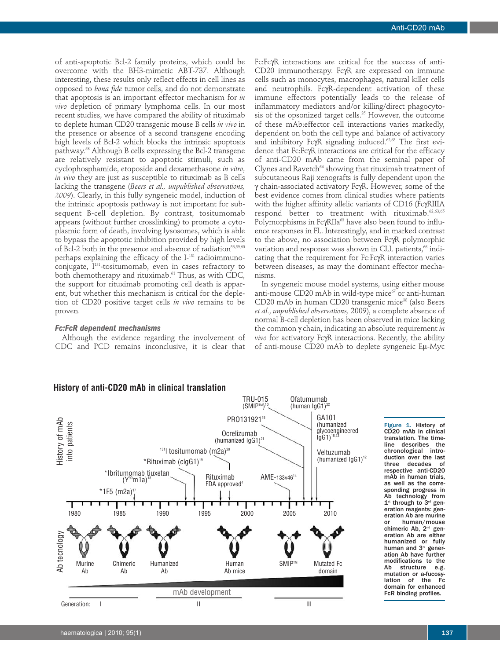of anti-apoptotic Bcl-2 family proteins, which could be overcome with the BH3-mimetic ABT-737. Although interesting, these results only reflect effects in cell lines as opposed to *bona fide* tumor cells, and do not demonstrate that apoptosis is an important effector mechanism for *in vivo* depletion of primary lymphoma cells. In our most recent studies, we have compared the ability of rituximab to deplete human CD20 transgenic mouse B cells *in vivo* in the presence or absence of a second transgene encoding high levels of Bcl-2 which blocks the intrinsic apoptosis pathway. <sup>58</sup> Although B cells expressing the Bcl-2 transgene are relatively resistant to apoptotic stimuli, such as cyclophosphamide, etoposide and dexamethasone *in vitro*, *in vivo* they are just as susceptible to rituximab as B cells lacking the transgene (*Beers et al., unpublished observations, 2009*). Clearly, in this fully syngeneic model, induction of the intrinsic apoptosis pathway is not important for subsequent B-cell depletion. By contrast, tositumomab appears (without further crosslinking) to promote a cytoplasmic form of death, involving lysosomes, which is able to bypass the apoptotic inhibition provided by high levels of Bcl-2 both in the presence and absence of radiation<sup>56,59,60</sup> perhaps explaining the efficacy of the I-131 radioimmunoconjugate, I<sup>131</sup>-tositumomab, even in cases refractory to both chemotherapy and rituximab.<sup>61</sup> Thus, as with CDC, the support for rituximab promoting cell death is apparent, but whether this mechanism is critical for the depletion of CD20 positive target cells *in vivo* remains to be proven.

#### *Fc:FcR dependent mechanisms*

Although the evidence regarding the involvement of CDC and PCD remains inconclusive, it is clear that

## CD20 immunotherapy. FcγR are expressed on immune cells such as monocytes, macrophages, natural killer cells and neutrophils. FcγR-dependent activation of these immune effectors potentially leads to the release of inflammatory mediators and/or killing/direct phagocytosis of the opsonized target cells.<sup>25</sup> However, the outcome of these mAb:effector cell interactions varies markedly, dependent on both the cell type and balance of activatory and inhibitory FcγR signaling induced.62,63 The first evidence that Fc:FcγR interactions are critical for the efficacy of anti-CD20 mAb came from the seminal paper of Clynes and Ravetch<sup>64</sup> showing that rituximab treatment of subcutaneous Raji xenografts is fully dependent upon the γ chain-associated activatory FcγR. However, some of the best evidence comes from clinical studies where patients with the higher affinity allelic variants of CD16 (FcγRIIIA respond better to treatment with rituximab.<sup>62,63,65</sup> Polymorphisms in FcγRIIa<sup>63</sup> have also been found to influence responses in FL. Interestingly, and in marked contrast to the above, no association between FcγR polymorphic variation and response was shown in CLL patients,<sup>66</sup> indicating that the requirement for Fc:FcγR interaction varies between diseases, as may the dominant effector mechanisms.

Fc:FcγR interactions are critical for the success of anti-

In syngeneic mouse model systems, using either mouse anti-mouse CD20 mAb in wild-type mice $67$  or anti-human CD20 mAb in human CD20 transgenic mice<sup>38</sup> (also Beers *et al*., *unpublished observations,* 2009), a complete absence of normal B-cell depletion has been observed in mice lacking the common γ chain, indicating an absolute requirement *in vivo* for activatory FcγR interactions. Recently, the ability of anti-mouse CD20 mAb to deplete syngeneic Eµ-Myc



Figure 1. History of CD20 mAb in clinical translation. The timeline describes the chronological introduction over the last<br>three decades of three decades respective anti-CD20 mAb in human trials, as well as the corresponding progress in Ab technology from  $1<sup>st</sup>$  through to  $3<sup>rd</sup>$  generation reagents: generation Ab are murine or human/mouse chimeric Ab, 2<sup>nd</sup> generation Ab are either humanized or fully human and 3<sup>rd</sup> generation Ab have further modifications to the<br>Ab structure e.g. structure mutation or a-fucosylation of the Fc domain for enhanced FcR binding profiles.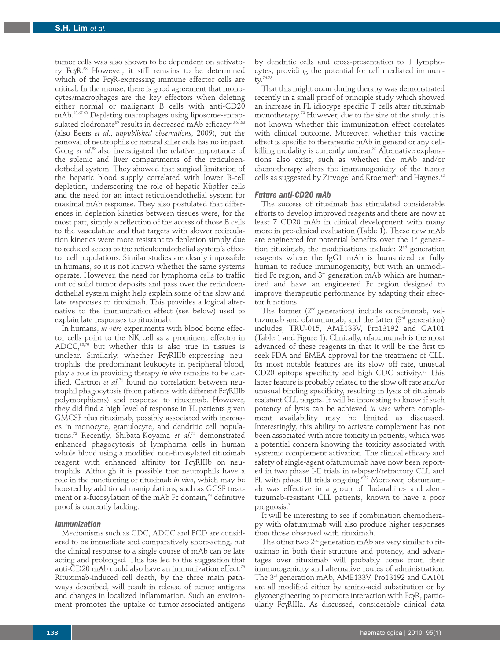tumor cells was also shown to be dependent on activatory FcγR.68 However, it still remains to be determined which of the FcγR-expressing immune effector cells are critical. In the mouse, there is good agreement that monocytes/macrophages are the key effectors when deleting either normal or malignant B cells with anti-CD20 mAb.38,67,68 Depleting macrophages using liposome-encapsulated clodronate<sup>69</sup> results in decreased mAb efficacy<sup>38,67,68</sup> (also Beers *et al*., *unpublished observations*, 2009), but the removal of neutrophils or natural killer cells has no impact. Gong *et al*. 38 also investigated the relative importance of the splenic and liver compartments of the reticuloendothelial system. They showed that surgical limitation of the hepatic blood supply correlated with lower B-cell depletion, underscoring the role of hepatic Küpffer cells and the need for an intact reticuloendothelial system for maximal mAb response. They also postulated that differences in depletion kinetics between tissues were, for the most part, simply a reflection of the access of those B cells to the vasculature and that targets with slower recirculation kinetics were more resistant to depletion simply due to reduced access to the reticuloendothelial system's effector cell populations. Similar studies are clearly impossible in humans, so it is not known whether the same systems operate. However, the need for lymphoma cells to traffic out of solid tumor deposits and pass over the reticuloendothelial system might help explain some of the slow and late responses to rituximab. This provides a logical alternative to the immunization effect (see below) used to explain late responses to rituximab.

In humans, *in vitro* experiments with blood borne effector cells point to the NK cell as a prominent effector in ADCC, $30,70$  but whether this is also true in tissues is unclear. Similarly, whether FcγRIIIb-expressing neutrophils, the predominant leukocyte in peripheral blood, play a role in providing therapy *in vivo* remains to be clarified. Cartron *et al*. <sup>71</sup> found no correlation between neutrophil phagocytosis (from patients with different FcγRIIIb polymorphisms) and response to rituximab. However, they did find a high level of response in FL patients given GMCSF plus rituximab, possibly associated with increases in monocyte, granulocyte, and dendritic cell populations.72 Recently, Shibata-Koyama *et al*. <sup>73</sup> demonstrated enhanced phagocytosis of lymphoma cells in human whole blood using a modified non-fucosylated rituximab reagent with enhanced affinity for FcγRIIIb on neutrophils. Although it is possible that neutrophils have a role in the functioning of rituximab *in vivo*, which may be boosted by additional manipulations, such as GCSF treatment or a-fucosylation of the mAb Fc domain,<sup>74</sup> definitive proof is currently lacking.

#### *Immunization*

Mechanisms such as CDC, ADCC and PCD are considered to be immediate and comparatively short-acting, but the clinical response to a single course of mAb can be late acting and prolonged. This has led to the suggestion that anti-CD20 mAb could also have an immunization effect.<sup>75</sup> Rituximab-induced cell death, by the three main pathways described, will result in release of tumor antigens and changes in localized inflammation. Such an environment promotes the uptake of tumor-associated antigens

by dendritic cells and cross-presentation to T lymphocytes, providing the potential for cell mediated immunity.<sup>76-78</sup>

That this might occur during therapy was demonstrated recently in a small proof of principle study which showed an increase in FL idiotype specific T cells after rituximab monotherapy.79 However, due to the size of the study, it is not known whether this immunization effect correlates with clinical outcome. Moreover, whether this vaccine effect is specific to therapeutic mAb in general or any cellkilling modality is currently unclear.<sup>80</sup> Alternative explanations also exist, such as whether the mAb and/or chemotherapy alters the immunogenicity of the tumor cells as suggested by Zitvogel and Kroemer<sup>81</sup> and Haynes.<sup>82</sup>

## *Future anti-CD20 mAb*

The success of rituximab has stimulated considerable efforts to develop improved reagents and there are now at least 7 CD20 mAb in clinical development with many more in pre-clinical evaluation (Table 1). These new mAb are engineered for potential benefits over the  $1<sup>st</sup>$  generation rituximab, the modifications include: 2nd generation reagents where the IgG1 mAb is humanized or fully human to reduce immunogenicity, but with an unmodified Fc region; and  $3<sup>rd</sup>$  generation mAb which are humanized and have an engineered Fc region designed to improve therapeutic performance by adapting their effector functions.

The former (2nd generation) include ocrelizumab, veltuzumab and ofatumumab, and the latter  $(3<sup>rd</sup>$  generation) includes, TRU-015, AME133V, Pro13192 and GA101 (Table 1 and Figure 1). Clinically, ofatumumab is the most advanced of these reagents in that it will be the first to seek FDA and EMEA approval for the treatment of CLL. Its most notable features are its slow off rate, unusual CD20 epitope specificity and high CDC activity.<sup>30</sup> This latter feature is probably related to the slow off rate and/or unusual binding specificity, resulting in lysis of rituximab resistant CLL targets. It will be interesting to know if such potency of lysis can be achieved *in vivo* where complement availability may be limited as discussed. Interestingly, this ability to activate complement has not been associated with more toxicity in patients, which was a potential concern knowing the toxicity associated with systemic complement activation. The clinical efficacy and safety of single-agent ofatumumab have now been reported in two phase I-II trials in relapsed/refractory CLL and FL with phase III trials ongoing.<sup>6,22</sup> Moreover, ofatumumab was effective in a group of fludarabine- and alemtuzumab-resistant CLL patients, known to have a poor prognosis.7

It will be interesting to see if combination chemotherapy with ofatumumab will also produce higher responses than those observed with rituximab.

The other two  $2<sup>nd</sup>$  generation mAb are very similar to rituximab in both their structure and potency, and advantages over rituximab will probably come from their immunogenicity and alternative routes of administration. The 3rd generation mAb, AME133V, Pro13192 and GA101 are all modified either by amino-acid substitution or by glycoengineering to promote interaction with FcγR, particularly FcγRIIIa. As discussed, considerable clinical data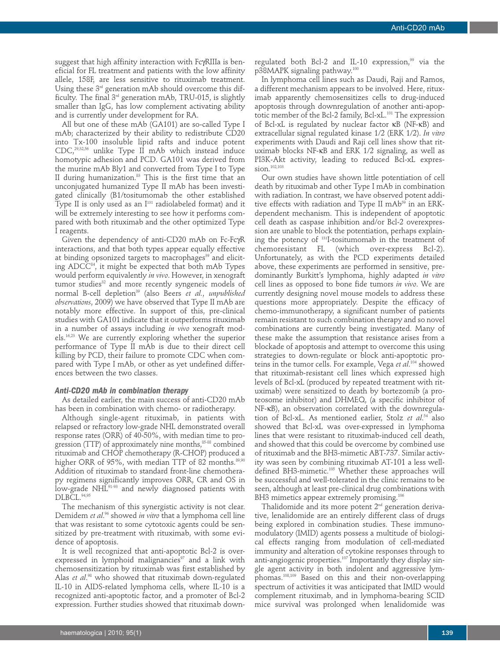suggest that high affinity interaction with FcγRIIIa is beneficial for FL treatment and patients with the low affinity allele, 158F, are less sensitive to rituximab treatment. Using these 3<sup>rd</sup> generation mAb should overcome this difficulty. The final  $3<sup>rd</sup>$  generation mAb, TRU-015, is slightly smaller than IgG, has low complement activating ability and is currently under development for RA.

All but one of these mAb (GA101) are so-called Type I mAb; characterized by their ability to redistribute CD20 into Tx-100 insoluble lipid rafts and induce potent CDC,29,32,56 unlike Type II mAb which instead induce homotypic adhesion and PCD. GA101 was derived from the murine mAb Bly1 and converted from Type I to Type II during humanization.<sup>83</sup> This is the first time that an unconjugated humanized Type II mAb has been investigated clinically (B1/tositumomab the other established Type II is only used as an  $I<sup>131</sup>$  radiolabeled format) and it will be extremely interesting to see how it performs compared with both rituximab and the other optimized Type I reagents.

Given the dependency of anti-CD20 mAb on Fc-FcγR interactions, and that both types appear equally effective at binding opsonized targets to macrophages<sup>39</sup> and eliciting ADCC<sup>84</sup>, it might be expected that both mAb Types would perform equivalently *in vivo*. However, in xenograft tumor studies<sup>32</sup> and more recently syngeneic models of normal B-cell depletion<sup>39</sup> (also Beers et al., *unpublished observations*, 2009) we have observed that Type II mAb are notably more effective. In support of this, pre-clinical studies with GA101 indicate that it outperforms rituximab in a number of assays including *in vivo* xenograft models.16,23 We are currently exploring whether the superior performance of Type II mAb is due to their direct cell killing by PCD, their failure to promote CDC when compared with Type I mAb, or other as yet undefined differences between the two classes.

#### *Anti-CD20 mAb in combination therapy*

As detailed earlier, the main success of anti-CD20 mAb has been in combination with chemo- or radiotherapy.

Although single-agent rituximab, in patients with relapsed or refractory low-grade NHL demonstrated overall response rates (ORR) of 40-50%, with median time to progression (TTP) of approximately nine months,<sup>85-88</sup> combined rituximab and CHOP chemotherapy (R-CHOP) produced a higher ORR of  $95\%$ , with median TTP of 82 months.<sup>89,90</sup> Addition of rituximab to standard front-line chemotherapy regimens significantly improves ORR, CR and OS in low-grade NHL<sup>91-93</sup> and newly diagnosed patients with DLBCL.94,95

The mechanism of this synergistic activity is not clear. Demidem *et al*. <sup>96</sup> showed *in vitro* that a lymphoma cell line that was resistant to some cytotoxic agents could be sensitized by pre-treatment with rituximab, with some evidence of apoptosis.

It is well recognized that anti-apoptotic Bcl-2 is overexpressed in lymphoid malignancies<sup>97</sup> and a link with chemosensitization by rituximab was first established by Alas *et al*. <sup>98</sup> who showed that rituximab down-regulated IL-10 in AIDS-related lymphoma cells, where IL-10 is a recognized anti-apoptotic factor, and a promoter of Bcl-2 expression. Further studies showed that rituximab downregulated both Bcl-2 and IL-10 expression, $99$  via the p38MAPK signaling pathway.100

In lymphoma cell lines such as Daudi, Raji and Ramos, a different mechanism appears to be involved. Here, rituximab apparently chemosensitizes cells to drug-induced apoptosis through downregulation of another anti-apoptotic member of the Bcl-2 family, Bcl-xL.<sup>101</sup> The expression of Bcl-xL is regulated by nuclear factor κB (NF-κB) and extracellular signal regulated kinase 1/2 (ERK 1/2). *In vitro* experiments with Daudi and Raji cell lines show that rituximab blocks NF-κB and ERK 1/2 signaling, as well as PI3K-Akt activity, leading to reduced Bcl-xL expression.<sup>102,10</sup>

Our own studies have shown little potentiation of cell death by rituximab and other Type I mAb in combination with radiation. In contrast, we have observed potent additive effects with radiation and Type II m $Ab^{59}$  in an ERKdependent mechanism. This is independent of apoptotic cell death as caspase inhibition and/or Bcl-2 overexpression are unable to block the potentiation, perhaps explaining the potency of 131I-tositumomab in the treatment of chemoresistant FL (which over-express Bcl-2). Unfortunately, as with the PCD experiments detailed above, these experiments are performed in sensitive, predominantly Burkitt's lymphoma, highly adapted *in vitro* cell lines as opposed to bone fide tumors *in vivo*. We are currently designing novel mouse models to address these questions more appropriately. Despite the efficacy of chemo-immunotherapy, a significant number of patients remain resistant to such combination therapy and so novel combinations are currently being investigated. Many of these make the assumption that resistance arises from a blockade of apoptosis and attempt to overcome this using strategies to down-regulate or block anti-apoptotic proteins in the tumor cells. For example, Vega *et al*. <sup>104</sup> showed that rituximab-resistant cell lines which expressed high levels of Bcl-xL (produced by repeated treatment with rituximab) were sensitized to death by bortezomib (a proteosome inhibitor) and DHMEQ, (a specific inhibitor of NF-κB), an observation correlated with the downregulation of Bcl-xL. As mentioned earlier, Stolz *et al*. <sup>54</sup> also showed that Bcl-xL was over-expressed in lymphoma lines that were resistant to rituximab-induced cell death, and showed that this could be overcome by combined use of rituximab and the BH3-mimetic ABT-737. Similar activity was seen by combining rituximab AT-101 a less welldefined BH3-mimetic.105 Whether these approaches will be successful and well-tolerated in the clinic remains to be seen, although at least pre-clinical drug combinations with BH3 mimetics appear extremely promising.<sup>106</sup>

Thalidomide and its more potent  $2<sup>nd</sup>$  generation derivative, lenalidomide are an entirely different class of drugs being explored in combination studies. These immunomodulatory (IMID) agents possess a multitude of biological effects ranging from modulation of cell-mediated immunity and alteration of cytokine responses through to anti-angiogenic properties.<sup>107</sup> Importantly they display single agent activity in both indolent and aggressive lymphomas.108,109 Based on this and their non-overlapping spectrum of activities it was anticipated that IMID would complement rituximab, and in lymphoma-bearing SCID mice survival was prolonged when lenalidomide was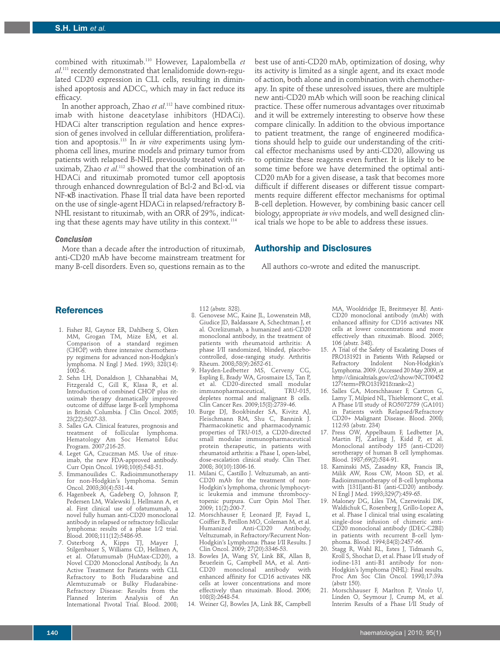combined with rituximab.110 However, Lapalombella *et al*. <sup>111</sup> recently demonstrated that lenalidomide down-regulated CD20 expression in CLL cells, resulting in diminished apoptosis and ADCC, which may in fact reduce its efficacy.

In another approach, Zhao *et al*. <sup>112</sup> have combined rituximab with histone deacetylase inhibitors (HDACi). HDACi alter transcription regulation and hence expression of genes involved in cellular differentiation, proliferation and apoptosis.113 In *in vitro* experiments using lymphoma cell lines, murine models and primary tumor from patients with relapsed B-NHL previously treated with rituximab, Zhao *et al*. <sup>112</sup> showed that the combination of an HDACi and rituximab promoted tumor cell apoptosis through enhanced downregulation of Bcl-2 and Bcl-xL via NF-κB inactivation. Phase II trial data have been reported on the use of single-agent HDACi in relapsed/refractory B-NHL resistant to rituximab, with an ORR of 29%, indicating that these agents may have utility in this context.<sup>114</sup>

#### *Conclusion*

More than a decade after the introduction of rituximab, anti-CD20 mAb have become mainstream treatment for many B-cell disorders. Even so, questions remain as to the best use of anti-CD20 mAb, optimization of dosing, why its activity is limited as a single agent, and its exact mode of action, both alone and in combination with chemotherapy. In spite of these unresolved issues, there are multiple new anti-CD20 mAb which will soon be reaching clinical practice. These offer numerous advantages over rituximab and it will be extremely interesting to observe how these compare clinically. In addition to the obvious importance to patient treatment, the range of engineered modifications should help to guide our understanding of the critical effector mechanisms used by anti-CD20, allowing us to optimize these reagents even further. It is likely to be some time before we have determined the optimal anti-CD20 mAb for a given disease, a task that becomes more difficult if different diseases or different tissue compartments require different effector mechanisms for optimal B-cell depletion. However, by combining basic cancer cell biology, appropriate *in vivo* models, and well designed clinical trials we hope to be able to address these issues.

# **Authorship and Disclosures**

All authors co-wrote and edited the manuscript.

## **References**

- 1. Fisher RI, Gaynor ER, Dahlberg S, Oken MM, Grogan TM, Mize EM, et al. Comparison of a standard regimen (CHOP) with three intensive chemotherapy regimens for advanced non-Hodgkin's lymphoma. N Engl J Med. 1993; 328(14): 1002-6.
- 2. Sehn LH, Donaldson J, Chhanabhai M, Fitzgerald C, Gill K, Klasa R, et al. Introduction of combined CHOP plus rituximab therapy dramatically improved outcome of diffuse large B-cell lymphoma in British Columbia. J Clin Oncol. 2005; 23(22):5027-33.
- 3. Salles GA. Clinical features, prognosis and treatment of follicular lymphoma. Hematology Am Soc Hematol Educ Program. 2007;216-25.
- 4. Leget GA, Czuczman MS. Use of rituximab, the new FDA-approved antibody. Curr Opin Oncol. 1998;10(6):548-51.
- 5. Emmanouilides C. Radioimmunotherapy for non-Hodgkin's lymphoma. Semin Oncol. 2003;30(4):531-44.
- 6. Hagenbeek A, Gadeberg O, Johnson P, Pedersen LM, Walewski J, Hellmann A, et al. First clinical use of ofatumumab, a novel fully human anti-CD20 monoclonal antibody in relapsed or refractory follicular lymphoma: results of a phase 1/2 trial. Blood. 2008;111(12):5486-95.
- 7. Osterborg A, Kipps TJ, Mayer J, Stilgenbauer S, Williams CD, Hellmen A, et al. Ofatumumab (HuMax-CD20), a Novel CD20 Monoclonal Antibody, Is An Active Treatment for Patients with CLL Refractory to Both Fludarabine and Alemtuzumab or Bulky Fludarabine-Refractory Disease: Results from the Planned Interim Analysis of An International Pivotal Trial. Blood. 2008;

112 (abstr. 328).

- 8. Genovese MC, Kaine JL, Lowenstein MB, Giudice JD, Baldassare A, Schechtman J, et al. Ocrelizumab, a humanized anti-CD20 monoclonal antibody, in the treatment of patients with rheumatoid arthritis: A phase I/II randomized, blinded, placebocontrolled, dose-ranging study. Arthritis Rheum. 2008;58(9):2652-61.
- 9. Hayden-Ledbetter MS, Cerveny CG, Espling E, Brady WA, Grosmaire LS, Tan P, et al. CD20-directed small modular immunopharmaceutical, depletes normal and malignant B cells. Clin Cancer Res. 2009;15(8):2739-46.
- 10. Burge DJ, Bookbinder SA, Kivitz AJ, Fleischmann RM, Shu C, Bannink J. Pharmacokinetic and pharmacodynamic properties of TRU-015, a CD20-directed small modular immunopharmaceutical protein therapeutic, in patients with rheumatoid arthritis: a Phase I, open-label, dose-escalation clinical study. Clin Ther. 2008; 30(10):1806-16.
- 11. Milani C, Castillo J. Veltuzumab, an anti-CD20 mAb for the treatment of non-Hodgkin's lymphoma, chronic lymphocytic leukemia and immune thrombocytopenic purpura. Curr Opin Mol Ther. 2009; 11(2):200-7.
- 12. Morschhauser F, Leonard JP, Fayad L, Coiffier B, Petillon MO, Coleman M, et al.  $Anti$ -CD20 Veltuzumab, in Refractory/Recurrent Non-Hodgkin's Lymphoma: Phase I/II Results. J Clin Oncol. 2009; 27(20):3346-53.
- 13. Bowles JA, Wang SY, Link BK, Allan B, Beuerlein G, Campbell MA, et al. Anti-CD20 monoclonal antibody with enhanced affinity for CD16 activates NK cells at lower concentrations and more effectively than rituximab. Blood. 2006; 108(8):2648-54.
- 14. Weiner GJ, Bowles JA, Link BK, Campbell

MA, Wooldridge JE, Breitmeyer BJ. Anti-CD20 monoclonal antibody (mAb) with enhanced affinity for CD16 activates NK cells at lower concentrations and more effectively than rituximab. Blood. 2005; 106 (abstr. 348).

- 15. A Trial of the Safety of Escalating Doses of PRO131921 in Patients With Relapsed or<br>Refractory Indolent Non-Hodgkin's Non-Hodgkin's Lymphoma. 2009. (Accessed 20 May 2009, at http://clinicaltrials.gov/ct2/show/NCT00452 127?term=PRO131921&rank=2.)
- 16. Salles GA, Morschhauser F, Cartron G, Lamy T, Milpied NL, Thieblemont C, et al. A Phase I/II study of RO5072759 (GA101) in Patients with Relapsed/Refractory CD20+ Malignant Disease. Blood. 2008; 112:93 (abstr. 234)
- 17. Press OW, Appelbaum F, Ledbetter JA, Martin PJ, Zarling J, Kidd P, et al. Monoclonal antibody 1F5 (anti-CD20) serotherapy of human B cell lymphomas. Blood. 1987;69(2):584-91.
- 18. Kaminski MS, Zasadny KR, Francis IR, Milik AW, Ross CW, Moon SD, et al. Radioimmunotherapy of B-cell lymphoma with [131I]anti-B1 (anti-CD20) antibody. N Engl J Med. 1993;329(7):459-65.
- 19. Maloney DG, Liles TM, Czerwinski DK, Waldichuk C, Rosenberg J, Grillo-Lopez A, et al. Phase I clinical trial using escalating single-dose infusion of chimeric anti-CD20 monoclonal antibody (IDEC-C2B8) in patients with recurrent B-cell lymphoma. Blood. 1994;84(8):2457-66.
- 20. Stagg R, Wahl RL, Estes J, Tidmarsh G, Kroll S, Shochat D, et al. Phase I/II study of iodine-131 anti-B1 antibody for non-Hodgkin's lymphoma (NHL): Final results. Proc Am Soc Clin Oncol. 1998;17:39a (abstr 150).
- 21. Morschhauser F, Marlton P, Vitolo U, Linden O, Seymour J, Crump M, et al. Interim Results of a Phase I/II Study of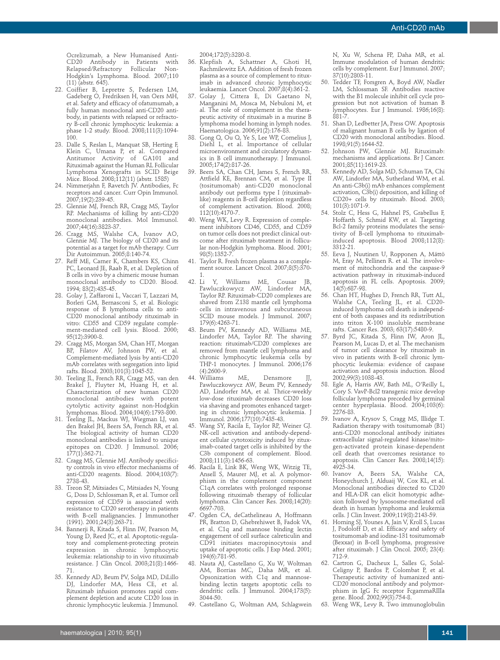Ocrelizumab, a New Humanised Anti-CD20 Antibody in Patients with Relapsed/Refractory Follicular Non-Hodgkin's Lymphoma. Blood. 2007;110 (11) (abstr. 645).

- 22. Coiffier B, Lepretre S, Pedersen LM, Gadeberg O, Fredriksen H, van Oers MH, et al. Safety and efficacy of ofatumumab, a fully human monoclonal anti-CD20 antibody, in patients with relapsed or refractory B-cell chronic lymphocytic leukemia: a phase 1-2 study. Blood. 2008;111(3):1094- 100.
- 23. Dalle S, Reslan L, Manquat SB, Herting F, Klein C, Umana P, et al. Compared Antitumor Activity of GA101 and Rituximab against the Human RL Follicular Lymphoma Xenografts in SCID Beige Mice. Blood. 2008;112(11) (abstr. 1585)
- 24. Nimmerjahn F, Ravetch JV. Antibodies, Fc receptors and cancer. Curr Opin Immunol. 2007;19(2):239-45.
- 25. Glennie MJ, French RR, Cragg MS, Taylor RP. Mechanisms of killing by anti-CD20 monoclonal antibodies. Mol Immunol. 2007;44(16):3823-37.
- 26. Cragg MS, Walshe CA, Ivanov AO, Glennie MJ. The biology of CD20 and its potential as a target for mAb therapy. Curr Dir Autoimmun. 2005;8:140-74.
- 27. Reff ME, Carner K, Chambers KS, Chinn PC, Leonard JE, Raab R, et al. Depletion of B cells in vivo by a chimeric mouse human monoclonal antibody to CD20. Blood. 1994; 83(2):435-45.
- 28. Golay J, Zaffaroni L, Vaccari T, Lazzari M, Borleri GM, Bernasconi S, et al. Biologic response of B lymphoma cells to anti-CD20 monoclonal antibody rituximab in vitro: CD55 and CD59 regulate complement-mediated cell lysis. Blood. 2000; 95(12):3900-8.
- 29. Cragg MS, Morgan SM, Chan HT, Morgan BP, Filatov AV, Johnson PW, et al. Complement-mediated lysis by anti-CD20 mAb correlates with segregation into lipid rafts. Blood. 2003;101(3):1045-52.
- 30. Teeling JL, French RR, Cragg MS, van den Brakel J, Pluyter M, Huang H, et al. Characterization of new human CD20 monoclonal antibodies with potent cytolytic activity against non-Hodgkin lymphomas. Blood. 2004;104(6):1793-800.
- 31. Teeling JL, Mackus WJ, Wiegman LJ, van den Brakel JH, Beers SA, French RR, et al. The biological activity of human CD20 monoclonal antibodies is linked to unique epitopes on CD20. J Immunol. 2006; 177(1):362-71.
- 32. Cragg MS, Glennie MJ. Antibody specificity controls in vivo effector mechanisms of anti-CD20 reagents. Blood. 2004;103(7): 2738-43.
- 33. Treon SP, Mitsiades C, Mitsiades N, Young G, Doss D, Schlossman R, et al. Tumor cell expression of CD59 is associated with resistance to CD20 serotherapy in patients with B-cell malignancies. J Immunother (1991). 2001;24(3):263-71.
- 34. Bannerji R, Kitada S, Flinn IW, Pearson M, Young D, Reed JC, et al. Apoptotic-regulatory and complement-protecting protein expression in chronic lymphocytic leukemia: relationship to in vivo rituximab resistance. J Clin Oncol. 2003;21(8):1466- 71.
- 35. Kennedy AD, Beum PV, Solga MD, DiLillo DJ, Lindorfer MA, Hess CE, et al. Rituximab infusion promotes rapid complement depletion and acute CD20 loss in chronic lymphocytic leukemia. J Immunol.

2004;172(5):3280-8.

- 36. Klepfish A, Schattner A, Ghoti H, Rachmilewitz EA. Addition of fresh frozen plasma as a source of complement to rituximab in advanced chronic lymphocytic leukaemia. Lancet Oncol. 2007;8(4):361-2.
- 37. Golay J, Cittera E, Di Gaetano N, Manganini M, Mosca M, Nebuloni M, et al. The role of complement in the therapeutic activity of rituximab in a murine B lymphoma model homing in lymph nodes. Haematologica. 2006;91(2):176-83.
- 38. Gong Q, Ou Q, Ye S, Lee WP, Cornelius J, Diehl L, et al. Importance of cellular microenvironment and circulatory dynamics in B cell immunotherapy. J Immunol. 2005;174(2):817-26.
- 39. Beers SA, Chan CH, James S, French RR, Attfield KE, Brennan CM, et al. Type II (tositumomab) anti-CD20 monoclonal antibody out performs type I (rituximablike) reagents in B-cell depletion regardless of complement activation. Blood. 2008; 112(10):4170-7.
- 40. Weng WK, Levy R. Expression of complement inhibitors CD46, CD55, and CD59 on tumor cells does not predict clinical outcome after rituximab treatment in follicular non-Hodgkin lymphoma. Blood. 2001; 98(5):1352-7.
- 41. Taylor R. Fresh frozen plasma as a complement source. Lancet Oncol. 2007;8(5):370-
- 42. Li Y, Williams ME, Cousar JB, Pawluczkowycz AW, Lindorfer MA, Taylor RP. Rituximab-CD20 complexes are shaved from Z138 mantle cell lymphoma cells in intravenous and subcutaneous SCID mouse models. J Immunol. 2007; 179(6):4263-71.
- 43. Beum PV, Kennedy AD, Williams ME, Lindorfer MA, Taylor RP. The shaving reaction: rituximab/CD20 complexes are removed from mantle cell lymphoma and chronic lymphocytic leukemia cells by THP-1 monocytes. J Immunol. 2006;176 (4):2600-9.
- 44. Williams ME, Densmore JJ, Pawluczkowycz AW, Beum PV, Kennedy AD, Lindorfer MA, et al. Thrice-weekly low-dose rituximab decreases CD20 loss via shaving and promotes enhanced targeting in chronic lymphocytic leukemia. J Immunol. 2006;177(10):7435-43.
- 45. Wang SY, Racila E, Taylor RP, Weiner GJ. NK-cell activation and antibody-dependent cellular cytotoxicity induced by rituximab-coated target cells is inhibited by the C3b component of complement. Blood. 2008;111(3):1456-63.
- 46. Racila E, Link BK, Weng WK, Witzig TE, Ansell S, Maurer MJ, et al. A polymorphism in the complement component C1qA correlates with prolonged response following rituximab therapy of follicular lymphoma. Clin Cancer Res. 2008;14(20): 6697-703.
- 47. Ogden CA, deCathelineau A, Hoffmann PR, Bratton D, Ghebrehiwet B, Fadok VA, et al. C1q and mannose binding lectin engagement of cell surface calreticulin and CD91 initiates macropinocytosis and uptake of apoptotic cells. J Exp Med. 2001; 194(6):781-95.
- 48. Nauta AJ, Castellano G, Xu W, Woltman AM, Borrias MC, Daha MR, et al. Opsonization with C1q and mannosebinding lectin targets apoptotic cells to dendritic cells. J Immunol. 2004;173(5): 3044-50.
- 49. Castellano G, Woltman AM, Schlagwein

N, Xu W, Schena FP, Daha MR, et al. Immune modulation of human dendritic cells by complement. Eur J Immunol. 2007; 37(10):2803-11.

- 50. Tedder TF, Forsgren A, Boyd AW, Nadler LM, Schlossman SF. Antibodies reactive with the B1 molecule inhibit cell cycle progression but not activation of human B lymphocytes. Eur J Immunol. 1986;16(8): 881-7.
- 51. Shan D, Ledbetter JA, Press OW. Apoptosis of malignant human B cells by ligation of CD20 with monoclonal antibodies. Blood. 1998;91(5):1644-52.
- 52. Johnson PW, Glennie MJ. Rituximab: mechanisms and applications. Br J Cancer. 2001;85(11):1619-23.
- 53. Kennedy AD, Solga MD, Schuman TA, Chi AW, Lindorfer MA, Sutherland WM, et al. An anti-C3b(i) mAb enhances complement activation, C3b(i) deposition, and killing of CD20+ cells by rituximab. Blood. 2003; 101(3):1071-9.
- 54. Stolz C, Hess G, Hahnel PS, Grabellus F, Hoffarth S, Schmid KW, et al. Targeting Bcl-2 family proteins modulates the sensitivity of B-cell lymphoma to rituximabinduced apoptosis. Blood 2008;112(8): 3312-21.
- 55. Eeva J, Nuutinen U, Ropponen A, Mättö M, Eray M, Pellinen R. et al. The involvement of mitochondria and the caspase-9 activation pathway in rituximab-induced apoptosis in FL cells. Apoptosis. 2009; 14(5):687-98.
- 56. Chan HT, Hughes D, French RR, Tutt AL, Walshe CA, Teeling JL, et al. CD20 induced lymphoma cell death is independent of both caspases and its redistribution into triton X-100 insoluble membrane rafts. Cancer Res. 2003; 63(17):5480-9.
- 57. Byrd JC, Kitada S, Flinn IW, Aron JL, Pearson M, Lucas D, et al. The mechanism of tumor cell clearance by rituximab in vivo in patients with B-cell chronic lymphocytic leukemia: evidence of caspase activation and apoptosis induction. Blood 2002;99(3):1038-43.
- 58. Egle A, Harris AW, Bath ML, O'Reilly L, Cory S. VavP-Bcl2 transgenic mice develop follicular lymphoma preceded by germinal center hyperplasia. Blood. 2004;103(6): 2276-83.
- 59. Ivanov A, Krysov S, Cragg MS, Illidge T. Radiation therapy with tositumomab (B1) anti-CD20 monoclonal antibody initiates extracellular signal-regulated kinase/mitogen-activated protein kinase-dependent cell death that overcomes resistance to apoptosis. Clin Cancer Res. 2008;14(15):  $4925-34.$  60 Ivanov A.
- Beers SA, Walshe CA, Honeychurch J, Alduaij W, Cox KL, et al. Monoclonal antibodies directed to CD20 and HLA-DR can elicit homotypic adhesion followed by lysososme-mediated cell death in human lymphoma and leukemia cells. J Clin Invest. 2009;119(8):2143-59.
- 61. Horning SJ, Younes A, Jain V, Kroll S, Lucas J, Podoloff D, et al. Efficacy and safety of tositumomab and iodine-131 tositumomab (Bexxar) in B-cell lymphoma, progressive after rituximab. J Clin Oncol. 2005; 23(4): 712-9.
- 62. Cartron G, Dacheux L, Salles G, Solal-Celigny P, Bardos P, Colombat P, et al. Therapeutic activity of humanized anti-CD20 monoclonal antibody and polymorphism in IgG Fc receptor FcgammaRIIIa gene. Blood. 2002;99(3):754-8.
- 63. Weng WK, Levy R. Two immunoglobulin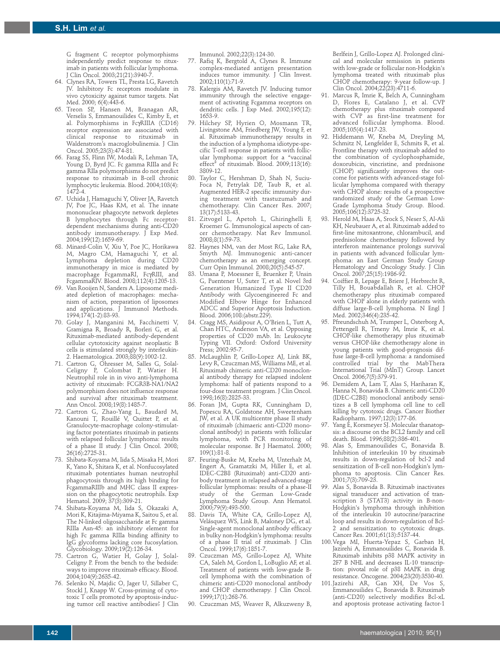G fragment C receptor polymorphisms independently predict response to rituximab in patients with follicular lymphoma. J Clin Oncol. 2003;21(21):3940-7.

- 64. Clynes RA, Towers TL, Presta LG, Ravetch JV. Inhibitory Fc receptors modulate in vivo cytoxicity against tumor targets. Nat Med. 2000; 6(4):443-6.
- 65. Treon SP, Hansen M, Branagan AR, Verselis S, Emmanouilides C, Kimby E, et al. Polymorphisms in FcγRIIIA (CD16) receptor expression are associated with clinical response to rituximab in Waldenstrom's macroglobulinemia. J Clin Oncol. 2005;23(3):474-81.
- 66. Farag SS, Flinn IW, Modali R, Lehman TA, Young D, Byrd JC. Fc gamma RIIIa and Fc gamma RIIa polymorphisms do not predict response to rituximab in B-cell chronic lymphocytic leukemia. Blood. 2004;103(4): 1472-4.
- 67. Uchida J, Hamaguchi Y, Oliver JA, Ravetch JV, Poe JC, Haas KM, et al. The innate mononuclear phagocyte network depletes B lymphocytes through Fc receptordependent mechanisms during anti-CD20 antibody immunotherapy. J Exp Med. 2004;199(12):1659-69.
- 68. Minard-Colin V, Xiu Y, Poe JC, Horikawa M, Magro CM, Hamaguchi Y, et al. Lymphoma depletion during CD20 immunotherapy in mice is mediated by macrophage FcgammaRI, FcγRIII, and FcgammaRIV. Blood. 2008;112(4):1205-13.
- 69. Van Rooijen N, Sanders A. Liposome mediated depletion of macrophages: mechanism of action, preparation of liposomes and applications. J Immunol Methods. 1994;174(1-2):83-93.
- 70. Golay J, Manganini M, Facchinetti V, Gramigna R, Broady R, Borleri G, et al. Rituximab-mediated antibody-dependent cellular cytotoxicity against neoplastic B cells is stimulated strongly by interleukin-2. Haematologica. 2003;88(9):1002-12.
- 71. Cartron G, Ohresser M, Salles G, Solal-Celigny P, Colombat P, Watier H. Neutrophil role in in vivo anti-lymphoma activity of rituximab: FCGR3B-NA1/NA2 polymorphism does not influence response and survival after rituximab treatment. Ann Oncol. 2008;19(8):1485-7.
- 72. Cartron G, Zhao-Yang L, Baudard M, Kanouni T, Rouillé V, Quittet P, et al. Granulocyte-macrophage colony-stimulating factor potentiates rituximab in patients with relapsed follicular lymphoma: results of a phase II study. J Clin Oncol. 2008; 26(16):2725-31.
- 73. Shibata-Koyama M, Iida S, Misaka H, Mori K, Yano K, Shitara K, et al. Nonfucosylated rituximab potentiates human neutrophil phagocytosis through its high binding for FcgammaRIIIb and MHC class II expression on the phagocytotic neutrophils. Exp Hematol. 2009; 37(3):309-21.
- 74. Shibata-Koyama M, Iida S, Okazaki A, Mori K, Kitajima-Miyama K, Saitou S, et al. The N-linked oligosaccharide at Fc gamma RIIIa Asn-45: an inhibitory element for high Fc gamma RIIIa binding affinity to IgG glycoforms lacking core fucosylation. Glycobiology. 2009;19(2):126-34.
- 75. Cartron G, Watier H, Golay J, Solal-Celigny P. From the bench to the bedside: ways to improve rituximab efficacy. Blood. 2004;104(9):2635-42.
- 76. Selenko N, Majdic O, Jager U, Sillaber C, Stockl J, Knapp W. Cross-priming of cytotoxic T cells promoted by apoptosis-inducing tumor cell reactive antibodies? J Clin

Immunol. 2002;22(3):124-30.

- 77. Rafiq K, Bergtold A, Clynes R. Immune complex-mediated antigen presentation induces tumor immunity. J Clin Invest. 2002;110(1):71-9.
- 78. Kalergis AM, Ravetch JV. Inducing tumor immunity through the selective engagement of activating Fcgamma receptors on dendritic cells. J Exp Med. 2002;195(12): 1653-9.
- 79. Hilchey SP, Hyrien O, Mosmann TR, Livingstone AM, Friedberg JW, Young F, et al. Rituximab immunotherapy results in the induction of a lymphoma idiotype-specific T-cell response in patients with follicular lymphoma: support for a "vaccinal effect" of rituximab. Blood. 2009;113(16): 3809-12.
- 80. Taylor C, Hershman D, Shah N, Suciu-Foca N, Petrylak DP, Taub R, et al. Augmented HER-2 specific immunity during treatment with trastuzumab and chemotherapy. Clin Cancer Res. 2007; 13(17):5133-43.
- 81. Zitvogel L, Apetoh L, Ghiringhelli F, Kroemer G. Immunological aspects of cancer chemotherapy. Nat Rev Immunol. 2008;8(1):59-73.
- 82. Haynes NM, van der Most RG, Lake RA, Smyth MJ. Immunogenic anti-cancer chemotherapy as an emerging concept. Curr Opin Immunol. 2008;20(5):545-57.
- 83. Umana P, Moessner E, Bruenker P, Unsin G, Puentener U, Suter T, et al. Novel 3rd Generation Humanized Type II CD20 Antibody with Glycoengineered Fc and Modified Elbow Hinge for Enhanced ADCC and Superior Apoptosis Induction. Blood. 2006;108:(abstr.229).
- 84. Cragg MS, Asidipour A, O'Brien L, Tutt A, Chan HTC, Anderson VA, et al. Opposing properties of CD20 mAb. In: Leukocyte Typing VII. Oxford: Oxford University Press; 2002:95-7.
- 85. McLaughlin P, Grillo-Lopez AJ, Link BK, Levy R, Czuczman MS, Williams ME, et al. Rituximab chimeric anti-CD20 monoclonal antibody therapy for relapsed indolent lymphoma: half of patients respond to a four-dose treatment program. J Clin Oncol. 1998;16(8):2825-33.
- Foran JM, Gupta RK, Cunningham D, Popescu RA, Goldstone AH, Sweetenham JW, et al. A UK multicentre phase II study of rituximab (chimaeric anti-CD20 monoclonal antibody) in patients with follicular lymphoma, with PCR monitoring of molecular response. Br J Haematol. 2000; 109(1):81-8.
- 87. Feuring-Buske M, Kneba M, Unterhalt M, Engert A, Gramatzki M, Hiller E, et al. IDEC-C2B8 (Rituximab) anti-CD20 antibody treatment in relapsed advanced-stage follicular lymphomas: results of a phase-II study of the German Low-Grade Lymphoma Study Group. Ann Hematol. 2000;79(9):493-500.
- Davis TA, White CA, Grillo-Lopez AJ, Velásquez WS, Link B, Maloney DG, et al. Single-agent monoclonal antibody efficacy in bulky non-Hodgkin's lymphoma: results of a phase II trial of rituximab. J Clin Oncol. 1999;17(6):1851-7.
- 89. Czuczman MS, Grillo-Lopez AJ, White CA, Saleh M, Gordon L, LoBuglio AF, et al. Treatment of patients with low-grade Bcell lymphoma with the combination of chimeric anti-CD20 monoclonal antibody and CHOP chemotherapy. J Clin Oncol. 1999;17(1):268-76.
- 90. Czuczman MS, Weaver R, Alkuzweny B,

Berlfein J, Grillo-Lopez AJ. Prolonged clinical and molecular remission in patients with low-grade or follicular non-Hodgkin's lymphoma treated with rituximab plus CHOP chemotherapy: 9-year follow-up. J Clin Oncol. 2004;22(23):4711-6.

- 91. Marcus R, Imrie K, Belch A, Cunningham D, Flores E, Catalano J, et al. CVP chemotherapy plus rituximab compared with CVP as first-line treatment for advanced follicular lymphoma. Blood. 2005;105(4):1417-23.
- 92. Hiddemann W, Kneba M, Dreyling M, Schmitz N, Lengfelder E, Schmits R, et al. Frontline therapy with rituximab added to the combination of cyclophosphamide, doxorubicin, vincristine, and prednisone (CHOP) significantly improves the outcome for patients with advanced-stage follicular lymphoma compared with therapy with CHOP alone: results of a prospective randomized study of the German Low-Grade Lymphoma Study Group. Blood. 2005;106(12):3725-32.
- Herold M, Haas A, Srock S, Neser S, Al-Ali KH, Neubauer A, et al. Rituximab added to first-line mitoxantrone, chlorambucil, and prednisolone chemotherapy followed by interferon maintenance prolongs survival in patients with advanced follicular lymphoma: an East German Study Group Hematology and Oncology Study. J Clin Oncol. 2007;25(15):1986-92.
- Coiffier B, Lepage E, Briere J, Herbrecht R Tilly H, Bouabdallah R, et al. CHOP chemotherapy plus rituximab compared with CHOP alone in elderly patients with diffuse large-B-cell lymphoma. N Engl J Med. 2002;346(4):235-42.
- 95. Pfreundschuh M, Trumper L, Osterborg A, Pettengell R, Trneny M, Imrie K, et al. CHOP-like chemotherapy plus rituximab versus CHOP-like chemotherapy alone in young patients with good-prognosis diffuse large-B-cell lymphoma: a randomised controlled trial by the MabThera International Trial (MInT) Group. Lancet Oncol. 2006;7(5):379-91.
- 96. Demidem A, Lam T, Alas S, Hariharan K, Hanna N, Bonavida B. Chimeric anti-CD20 (IDEC-C2B8) monoclonal antibody sensitizes a B cell lymphoma cell line to cell killing by cytotoxic drugs. Cancer Biother Radiopharm. 1997;12(3):177-86.
- 97. Yang E, Korsmeyer SJ. Molecular thanatopsis: a discourse on the BCL2 family and cell death. Blood. 1996;88(2):386-401.
- 98. Alas S, Emmanouilides C, Bonavida B. Inhibition of interleukin 10 by rituximab results in down-regulation of bcl-2 and sensitization of B-cell non-Hodgkin's lymphoma to apoptosis. Clin Cancer Res.  $2001;7(3):709-23.$
- 99. Alas S, Bonavida B. Rituximab inactivates signal transducer and activation of transcription 3 (STAT3) activity in B-non-Hodgkin's lymphoma through inhibition of the interleukin 10 autocrine/paracrine loop and results in down-regulation of Bcl-2 and sensitization to cytotoxic drugs. Cancer Res. 2001;61(13):5137-44.
- 100.Vega MI, Huerta-Yepaz S, Garban H, Jazirehi A, Emmanouilides C, Bonavida B. Rituximab inhibits p38 MAPK activity in 2F7 B NHL and decreases IL-10 transcription: pivotal role of p38 MAPK in drug resistance. Oncogene. 2004;23(20):3530-40.
- 101.Jazirehi AR, Gan XH, De Vos S, Emmanouilides C, Bonavida B. Rituximab (anti-CD20) selectively modifies Bcl-xL and apoptosis protease activating factor-1